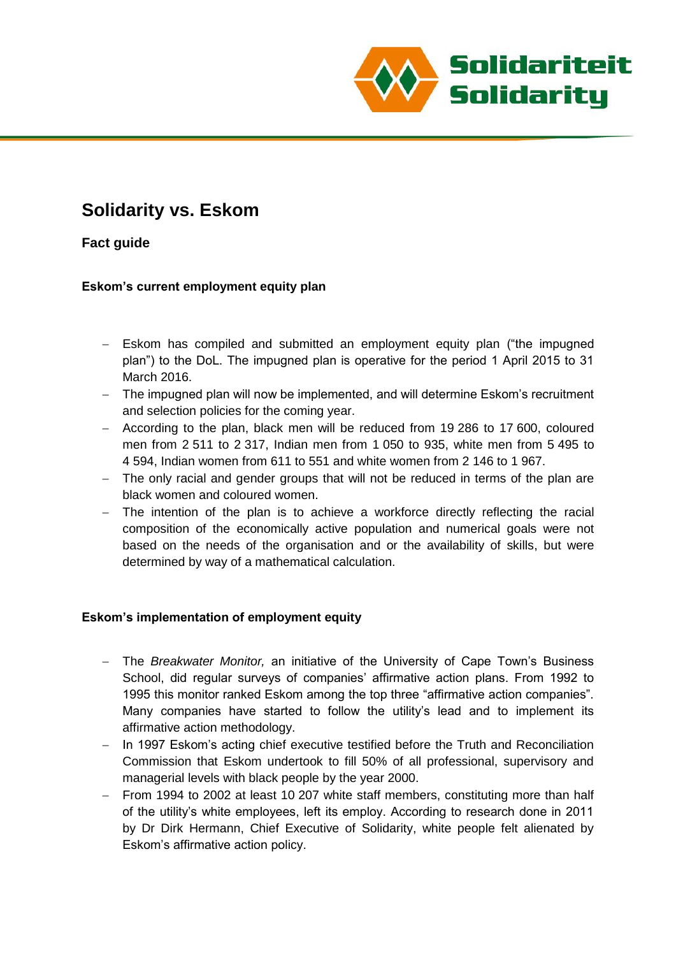

# **Solidarity vs. Eskom**

# **Fact guide**

## **Eskom's current employment equity plan**

- Eskom has compiled and submitted an employment equity plan ("the impugned plan") to the DoL. The impugned plan is operative for the period 1 April 2015 to 31 March 2016.
- The impugned plan will now be implemented, and will determine Eskom's recruitment and selection policies for the coming year.
- According to the plan, black men will be reduced from 19 286 to 17 600, coloured men from 2 511 to 2 317, Indian men from 1 050 to 935, white men from 5 495 to 4 594, Indian women from 611 to 551 and white women from 2 146 to 1 967.
- The only racial and gender groups that will not be reduced in terms of the plan are black women and coloured women.
- The intention of the plan is to achieve a workforce directly reflecting the racial composition of the economically active population and numerical goals were not based on the needs of the organisation and or the availability of skills, but were determined by way of a mathematical calculation.

#### **Eskom's implementation of employment equity**

- The *Breakwater Monitor,* an initiative of the University of Cape Town's Business School, did regular surveys of companies' affirmative action plans. From 1992 to 1995 this monitor ranked Eskom among the top three "affirmative action companies". Many companies have started to follow the utility's lead and to implement its affirmative action methodology.
- In 1997 Eskom's acting chief executive testified before the Truth and Reconciliation Commission that Eskom undertook to fill 50% of all professional, supervisory and managerial levels with black people by the year 2000.
- From 1994 to 2002 at least 10 207 white staff members, constituting more than half of the utility's white employees, left its employ. According to research done in 2011 by Dr Dirk Hermann, Chief Executive of Solidarity, white people felt alienated by Eskom's affirmative action policy.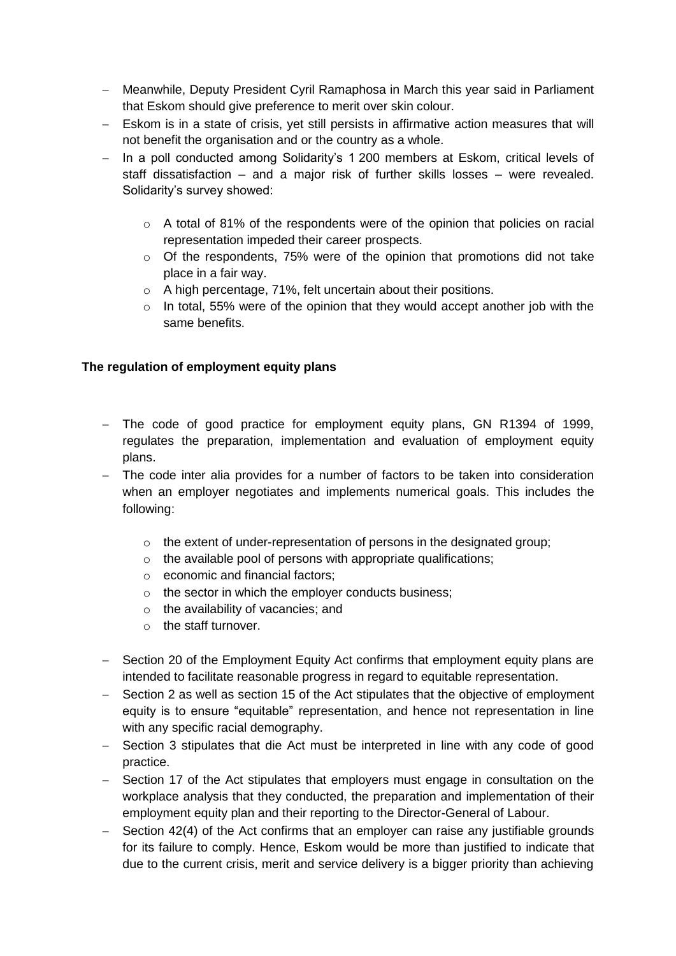- Meanwhile, Deputy President Cyril Ramaphosa in March this year said in Parliament that Eskom should give preference to merit over skin colour.
- Eskom is in a state of crisis, yet still persists in affirmative action measures that will not benefit the organisation and or the country as a whole.
- In a poll conducted among Solidarity's 1 200 members at Eskom, critical levels of staff dissatisfaction – and a major risk of further skills losses – were revealed. Solidarity's survey showed:
	- $\circ$  A total of 81% of the respondents were of the opinion that policies on racial representation impeded their career prospects.
	- $\circ$  Of the respondents, 75% were of the opinion that promotions did not take place in a fair way.
	- o A high percentage, 71%, felt uncertain about their positions.
	- $\circ$  In total, 55% were of the opinion that they would accept another job with the same benefits.

### **The regulation of employment equity plans**

- The code of good practice for employment equity plans, GN R1394 of 1999. regulates the preparation, implementation and evaluation of employment equity plans.
- The code inter alia provides for a number of factors to be taken into consideration when an employer negotiates and implements numerical goals. This includes the following:
	- o the extent of under-representation of persons in the designated group;
	- o the available pool of persons with appropriate qualifications;
	- o economic and financial factors;
	- o the sector in which the employer conducts business;
	- o the availability of vacancies; and
	- o the staff turnover.
- Section 20 of the Employment Equity Act confirms that employment equity plans are intended to facilitate reasonable progress in regard to equitable representation.
- Section 2 as well as section 15 of the Act stipulates that the objective of employment equity is to ensure "equitable" representation, and hence not representation in line with any specific racial demography.
- Section 3 stipulates that die Act must be interpreted in line with any code of good practice.
- Section 17 of the Act stipulates that employers must engage in consultation on the workplace analysis that they conducted, the preparation and implementation of their employment equity plan and their reporting to the Director-General of Labour.
- $-$  Section 42(4) of the Act confirms that an employer can raise any justifiable grounds for its failure to comply. Hence, Eskom would be more than justified to indicate that due to the current crisis, merit and service delivery is a bigger priority than achieving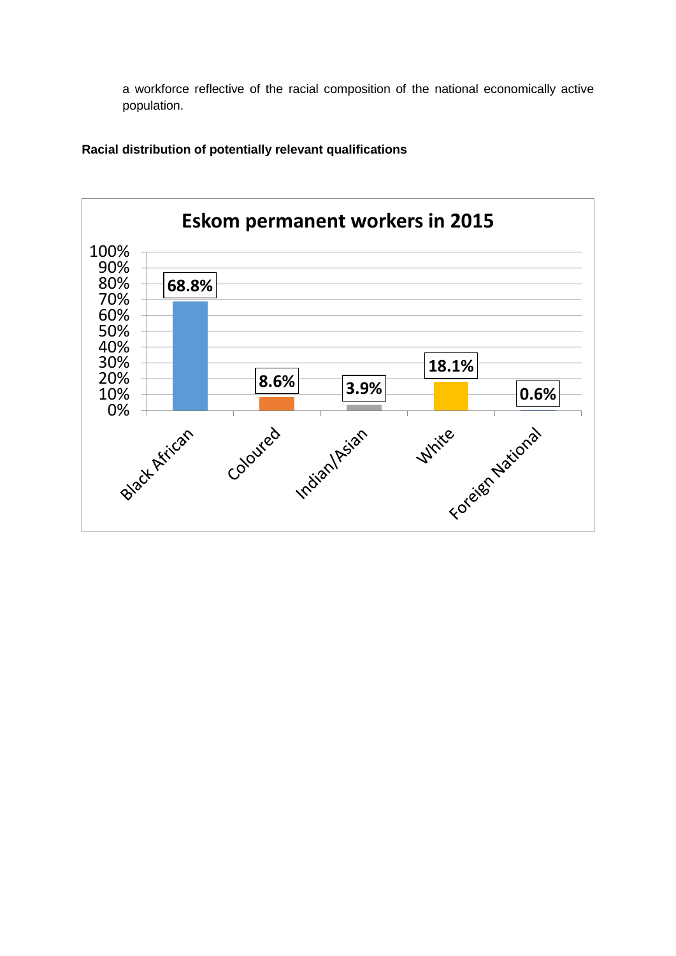a workforce reflective of the racial composition of the national economically active population.



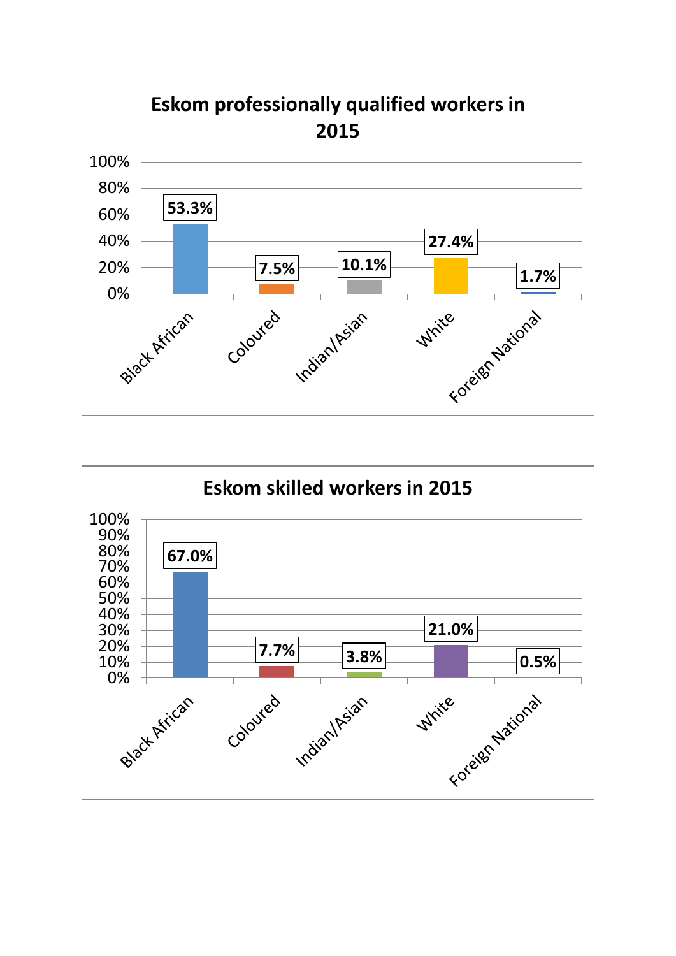

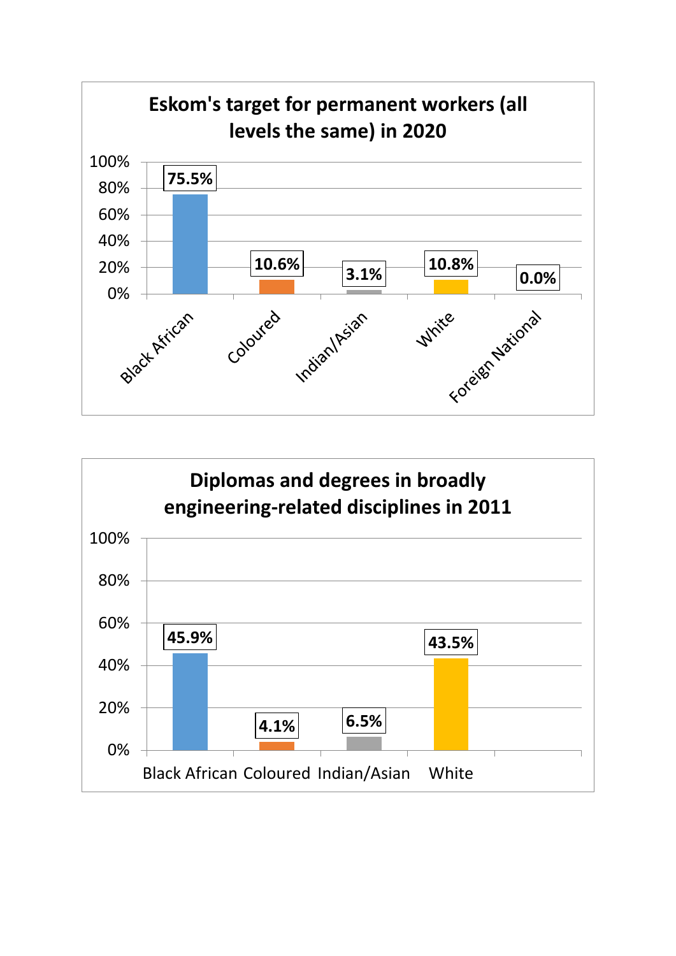